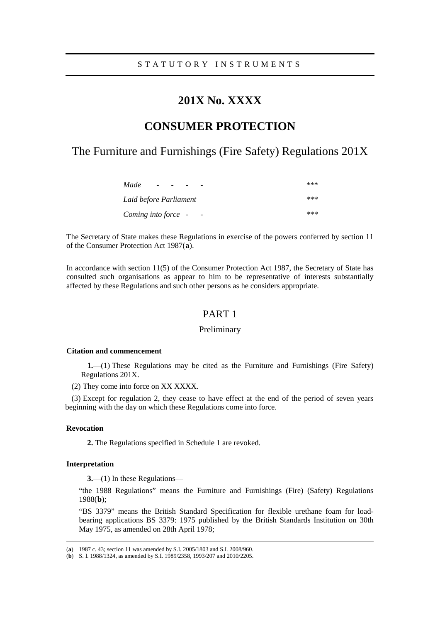# **201X No. XXXX**

# **CONSUMER PROTECTION**

The Furniture and Furnishings (Fire Safety) Regulations 201X

| Made<br>$\overline{\phantom{0}}$<br>-           | *** |
|-------------------------------------------------|-----|
| Laid before Parliament                          | *** |
| Coming into force -<br>$\overline{\phantom{a}}$ | *** |

The Secretary of State makes these Regulations in exercise of the powers conferred by section 11 of the Consumer Protection Act 1987(**[a](#page-0-0)**).

In accordance with section 11(5) of the Consumer Protection Act 1987, the Secretary of State has consulted such organisations as appear to him to be representative of interests substantially affected by these Regulations and such other persons as he considers appropriate.

### PART 1

### Preliminary

#### **Citation and commencement**

**1.**—(1) These Regulations may be cited as the Furniture and Furnishings (Fire Safety) Regulations 201X.

(2) They come into force on XX XXXX.

(3) Except for regulation 2, they cease to have effect at the end of the period of seven years beginning with the day on which these Regulations come into force.

### **Revocation**

**2.** The Regulations specified in Schedule 1 are revoked.

### **Interpretation**

<u>.</u>

**3.**—(1) In these Regulations—

"the 1988 Regulations" means the Furniture and Furnishings (Fire) (Safety) Regulations 1988(**[b](#page-0-1)**);

"BS 3379" means the British Standard Specification for flexible urethane foam for loadbearing applications BS 3379: 1975 published by the British Standards Institution on 30th May 1975, as amended on 28th April 1978;

<span id="page-0-0"></span><sup>(</sup>**a**) 1987 c. 43; section 11 was amended by S.I. 2005/1803 and S.I. 2008/960.

<span id="page-0-1"></span><sup>(</sup>**b**) S. I. 1988/1324, as amended by S.I. 1989/2358, 1993/207 and 2010/2205.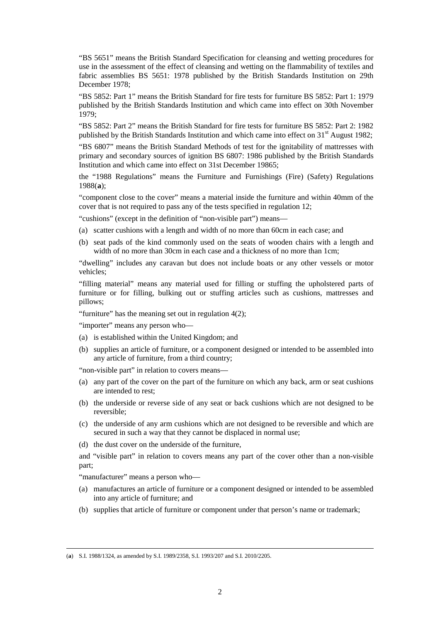"BS 5651" means the British Standard Specification for cleansing and wetting procedures for use in the assessment of the effect of cleansing and wetting on the flammability of textiles and fabric assemblies BS 5651: 1978 published by the British Standards Institution on 29th December 1978;

"BS 5852: Part 1" means the British Standard for fire tests for furniture BS 5852: Part 1: 1979 published by the British Standards Institution and which came into effect on 30th November 1979;

"BS 5852: Part 2" means the British Standard for fire tests for furniture BS 5852: Part 2: 1982 published by the British Standards Institution and which came into effect on  $31<sup>st</sup>$  August 1982;

"BS 6807" means the British Standard Methods of test for the ignitability of mattresses with primary and secondary sources of ignition BS 6807: 1986 published by the British Standards Institution and which came into effect on 31st December 19865;

the "1988 Regulations" means the Furniture and Furnishings (Fire) (Safety) Regulations 1988(**[a](#page-1-0)**);

"component close to the cover" means a material inside the furniture and within 40mm of the cover that is not required to pass any of the tests specified in regulation 12;

"cushions" (except in the definition of "non-visible part") means—

- (a) scatter cushions with a length and width of no more than 60cm in each case; and
- (b) seat pads of the kind commonly used on the seats of wooden chairs with a length and width of no more than 30cm in each case and a thickness of no more than 1cm;

"dwelling" includes any caravan but does not include boats or any other vessels or motor vehicles;

"filling material" means any material used for filling or stuffing the upholstered parts of furniture or for filling, bulking out or stuffing articles such as cushions, mattresses and pillows;

"furniture" has the meaning set out in regulation 4(2);

"importer" means any person who—

- (a) is established within the United Kingdom; and
- (b) supplies an article of furniture, or a component designed or intended to be assembled into any article of furniture, from a third country;

"non-visible part" in relation to covers means—

- (a) any part of the cover on the part of the furniture on which any back, arm or seat cushions are intended to rest;
- (b) the underside or reverse side of any seat or back cushions which are not designed to be reversible;
- (c) the underside of any arm cushions which are not designed to be reversible and which are secured in such a way that they cannot be displaced in normal use;
- (d) the dust cover on the underside of the furniture,

and "visible part" in relation to covers means any part of the cover other than a non-visible part;

"manufacturer" means a person who—

<u>.</u>

- (a) manufactures an article of furniture or a component designed or intended to be assembled into any article of furniture; and
- (b) supplies that article of furniture or component under that person's name or trademark;

<span id="page-1-0"></span><sup>(</sup>**a**) S.I. 1988/1324, as amended by S.I. 1989/2358, S.I. 1993/207 and S.I. 2010/2205.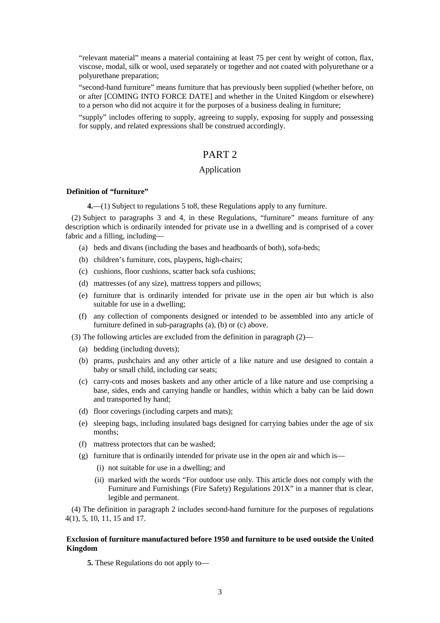"relevant material" means a material containing at least 75 per cent by weight of cotton, flax, viscose, modal, silk or wool, used separately or together and not coated with polyurethane or a polyurethane preparation;

"second-hand furniture" means furniture that has previously been supplied (whether before, on or after [COMING INTO FORCE DATE] and whether in the United Kingdom or elsewhere) to a person who did not acquire it for the purposes of a business dealing in furniture;

"supply" includes offering to supply, agreeing to supply, exposing for supply and possessing for supply, and related expressions shall be construed accordingly.

### PART 2

### Application

### **Definition of "furniture"**

**4.**—(1) Subject to regulations 5 to8, these Regulations apply to any furniture.

(2) Subject to paragraphs 3 and 4, in these Regulations, "furniture" means furniture of any description which is ordinarily intended for private use in a dwelling and is comprised of a cover fabric and a filling, including—

- (a) beds and divans (including the bases and headboards of both), sofa-beds;
- (b) children's furniture, cots, playpens, high-chairs;
- (c) cushions, floor cushions, scatter back sofa cushions;
- (d) mattresses (of any size), mattress toppers and pillows;
- (e) furniture that is ordinarily intended for private use in the open air but which is also suitable for use in a dwelling;
- (f) any collection of components designed or intended to be assembled into any article of furniture defined in sub-paragraphs (a), (b) or (c) above.
- (3) The following articles are excluded from the definition in paragraph (2)—
	- (a) bedding (including duvets);
	- (b) prams, pushchairs and any other article of a like nature and use designed to contain a baby or small child, including car seats;
	- (c) carry-cots and moses baskets and any other article of a like nature and use comprising a base, sides, ends and carrying handle or handles, within which a baby can be laid down and transported by hand;
	- (d) floor coverings (including carpets and mats);
	- (e) sleeping bags, including insulated bags designed for carrying babies under the age of six months;
	- (f) mattress protectors that can be washed;
	- (g) furniture that is ordinarily intended for private use in the open air and which is—
		- (i) not suitable for use in a dwelling; and
		- (ii) marked with the words "For outdoor use only. This article does not comply with the Furniture and Furnishings (Fire Safety) Regulations 201X" in a manner that is clear, legible and permanent.

(4) The definition in paragraph 2 includes second-hand furniture for the purposes of regulations 4(1), 5, 10, 11, 15 and 17.

### **Exclusion of furniture manufactured before 1950 and furniture to be used outside the United Kingdom**

**5.** These Regulations do not apply to—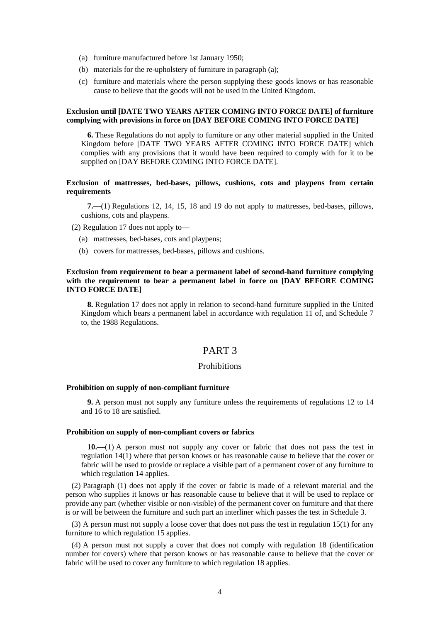- (a) furniture manufactured before 1st January 1950;
- (b) materials for the re-upholstery of furniture in paragraph (a);
- (c) furniture and materials where the person supplying these goods knows or has reasonable cause to believe that the goods will not be used in the United Kingdom.

### **Exclusion until [DATE TWO YEARS AFTER COMING INTO FORCE DATE] of furniture complying with provisions in force on [DAY BEFORE COMING INTO FORCE DATE]**

**6.** These Regulations do not apply to furniture or any other material supplied in the United Kingdom before [DATE TWO YEARS AFTER COMING INTO FORCE DATE] which complies with any provisions that it would have been required to comply with for it to be supplied on [DAY BEFORE COMING INTO FORCE DATE].

### **Exclusion of mattresses, bed-bases, pillows, cushions, cots and playpens from certain requirements**

**7.**—(1) Regulations 12, 14, 15, 18 and 19 do not apply to mattresses, bed-bases, pillows, cushions, cots and playpens.

(2) Regulation 17 does not apply to—

- (a) mattresses, bed-bases, cots and playpens;
- (b) covers for mattresses, bed-bases, pillows and cushions.

### **Exclusion from requirement to bear a permanent label of second-hand furniture complying with the requirement to bear a permanent label in force on [DAY BEFORE COMING INTO FORCE DATE]**

**8.** Regulation 17 does not apply in relation to second-hand furniture supplied in the United Kingdom which bears a permanent label in accordance with regulation 11 of, and Schedule 7 to, the 1988 Regulations.

# PART 3

### **Prohibitions**

#### **Prohibition on supply of non-compliant furniture**

**9.** A person must not supply any furniture unless the requirements of regulations 12 to 14 and 16 to 18 are satisfied.

### **Prohibition on supply of non-compliant covers or fabrics**

**10.**—(1) A person must not supply any cover or fabric that does not pass the test in regulation 14(1) where that person knows or has reasonable cause to believe that the cover or fabric will be used to provide or replace a visible part of a permanent cover of any furniture to which regulation 14 applies.

(2) Paragraph (1) does not apply if the cover or fabric is made of a relevant material and the person who supplies it knows or has reasonable cause to believe that it will be used to replace or provide any part (whether visible or non-visible) of the permanent cover on furniture and that there is or will be between the furniture and such part an interliner which passes the test in Schedule 3.

(3) A person must not supply a loose cover that does not pass the test in regulation 15(1) for any furniture to which regulation 15 applies.

(4) A person must not supply a cover that does not comply with regulation 18 (identification number for covers) where that person knows or has reasonable cause to believe that the cover or fabric will be used to cover any furniture to which regulation 18 applies.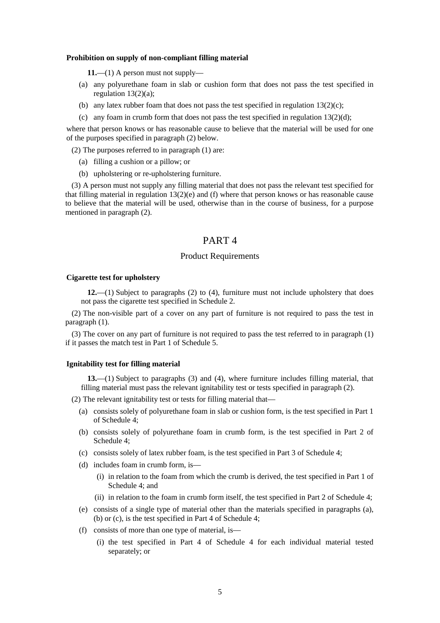#### **Prohibition on supply of non-compliant filling material**

**11.**—(1) A person must not supply—

- (a) any polyurethane foam in slab or cushion form that does not pass the test specified in regulation 13(2)(a);
- (b) any latex rubber foam that does not pass the test specified in regulation  $13(2)(c)$ ;
- (c) any foam in crumb form that does not pass the test specified in regulation  $13(2)(d)$ ;

where that person knows or has reasonable cause to believe that the material will be used for one of the purposes specified in paragraph (2) below.

(2) The purposes referred to in paragraph (1) are:

- (a) filling a cushion or a pillow; or
- (b) upholstering or re-upholstering furniture.

(3) A person must not supply any filling material that does not pass the relevant test specified for that filling material in regulation 13(2)(e) and (f) where that person knows or has reasonable cause to believe that the material will be used, otherwise than in the course of business, for a purpose mentioned in paragraph (2).

# PART 4

### Product Requirements

#### **Cigarette test for upholstery**

**12.**—(1) Subject to paragraphs (2) to (4), furniture must not include upholstery that does not pass the cigarette test specified in Schedule 2.

(2) The non-visible part of a cover on any part of furniture is not required to pass the test in paragraph (1).

(3) The cover on any part of furniture is not required to pass the test referred to in paragraph (1) if it passes the match test in Part 1 of Schedule 5.

### **Ignitability test for filling material**

**13.**—(1) Subject to paragraphs (3) and (4), where furniture includes filling material, that filling material must pass the relevant ignitability test or tests specified in paragraph (2).

- (2) The relevant ignitability test or tests for filling material that—
	- (a) consists solely of polyurethane foam in slab or cushion form, is the test specified in Part 1 of Schedule 4;
	- (b) consists solely of polyurethane foam in crumb form, is the test specified in Part 2 of Schedule 4;
	- (c) consists solely of latex rubber foam, is the test specified in Part 3 of Schedule 4;
	- (d) includes foam in crumb form, is—
		- (i) in relation to the foam from which the crumb is derived, the test specified in Part 1 of Schedule 4; and
		- (ii) in relation to the foam in crumb form itself, the test specified in Part 2 of Schedule 4;
	- (e) consists of a single type of material other than the materials specified in paragraphs (a), (b) or (c), is the test specified in Part 4 of Schedule 4;
	- (f) consists of more than one type of material, is—
		- (i) the test specified in Part 4 of Schedule 4 for each individual material tested separately; or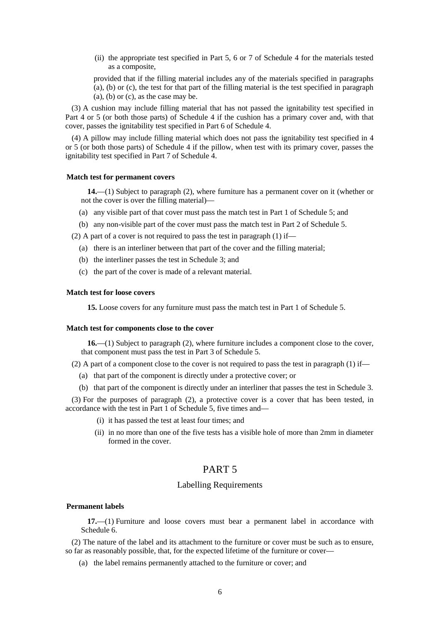(ii) the appropriate test specified in Part 5, 6 or 7 of Schedule 4 for the materials tested as a composite,

provided that if the filling material includes any of the materials specified in paragraphs (a), (b) or (c), the test for that part of the filling material is the test specified in paragraph  $(a)$ ,  $(b)$  or  $(c)$ , as the case may be.

(3) A cushion may include filling material that has not passed the ignitability test specified in Part 4 or 5 (or both those parts) of Schedule 4 if the cushion has a primary cover and, with that cover, passes the ignitability test specified in Part 6 of Schedule 4.

(4) A pillow may include filling material which does not pass the ignitability test specified in 4 or 5 (or both those parts) of Schedule 4 if the pillow, when test with its primary cover, passes the ignitability test specified in Part 7 of Schedule 4.

### **Match test for permanent covers**

**14.**—(1) Subject to paragraph (2), where furniture has a permanent cover on it (whether or not the cover is over the filling material)—

- (a) any visible part of that cover must pass the match test in Part 1 of Schedule 5; and
- (b) any non-visible part of the cover must pass the match test in Part 2 of Schedule 5.

(2) A part of a cover is not required to pass the test in paragraph (1) if—

- (a) there is an interliner between that part of the cover and the filling material;
- (b) the interliner passes the test in Schedule 3; and
- (c) the part of the cover is made of a relevant material.

#### **Match test for loose covers**

**15.** Loose covers for any furniture must pass the match test in Part 1 of Schedule 5.

### **Match test for components close to the cover**

**16.**—(1) Subject to paragraph (2), where furniture includes a component close to the cover, that component must pass the test in Part 3 of Schedule 5.

(2) A part of a component close to the cover is not required to pass the test in paragraph  $(1)$  if—

- (a) that part of the component is directly under a protective cover; or
- (b) that part of the component is directly under an interliner that passes the test in Schedule 3.

(3) For the purposes of paragraph (2), a protective cover is a cover that has been tested, in accordance with the test in Part 1 of Schedule 5, five times and—

- (i) it has passed the test at least four times; and
- (ii) in no more than one of the five tests has a visible hole of more than 2mm in diameter formed in the cover.

# PART 5

### Labelling Requirements

#### **Permanent labels**

**17.**—(1) Furniture and loose covers must bear a permanent label in accordance with Schedule 6.

(2) The nature of the label and its attachment to the furniture or cover must be such as to ensure, so far as reasonably possible, that, for the expected lifetime of the furniture or cover—

(a) the label remains permanently attached to the furniture or cover; and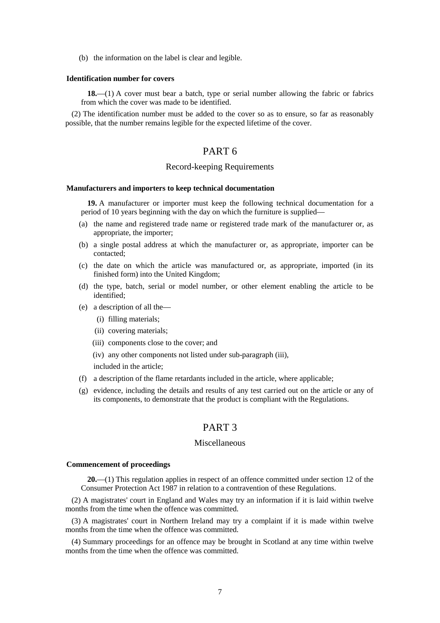(b) the information on the label is clear and legible.

#### **Identification number for covers**

**18.**—(1) A cover must bear a batch, type or serial number allowing the fabric or fabrics from which the cover was made to be identified.

(2) The identification number must be added to the cover so as to ensure, so far as reasonably possible, that the number remains legible for the expected lifetime of the cover.

# PART 6

### Record-keeping Requirements

#### **Manufacturers and importers to keep technical documentation**

**19.** A manufacturer or importer must keep the following technical documentation for a period of 10 years beginning with the day on which the furniture is supplied—

- (a) the name and registered trade name or registered trade mark of the manufacturer or, as appropriate, the importer;
- (b) a single postal address at which the manufacturer or, as appropriate, importer can be contacted;
- (c) the date on which the article was manufactured or, as appropriate, imported (in its finished form) into the United Kingdom;
- (d) the type, batch, serial or model number, or other element enabling the article to be identified;
- (e) a description of all the—
	- (i) filling materials;
	- (ii) covering materials;
	- (iii) components close to the cover; and
	- (iv) any other components not listed under sub-paragraph (iii),

included in the article;

- (f) a description of the flame retardants included in the article, where applicable;
- (g) evidence, including the details and results of any test carried out on the article or any of its components, to demonstrate that the product is compliant with the Regulations.

# PART 3

### Miscellaneous

#### **Commencement of proceedings**

**20.**—(1) This regulation applies in respect of an offence committed under section 12 of the Consumer Protection Act 1987 in relation to a contravention of these Regulations.

(2) A magistrates' court in England and Wales may try an information if it is laid within twelve months from the time when the offence was committed.

(3) A magistrates' court in Northern Ireland may try a complaint if it is made within twelve months from the time when the offence was committed.

(4) Summary proceedings for an offence may be brought in Scotland at any time within twelve months from the time when the offence was committed.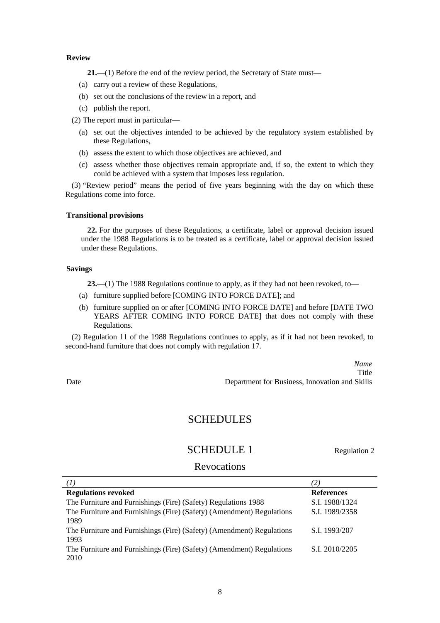### **Review**

**21.**—(1) Before the end of the review period, the Secretary of State must—

- (a) carry out a review of these Regulations,
- (b) set out the conclusions of the review in a report, and
- (c) publish the report.

(2) The report must in particular—

- (a) set out the objectives intended to be achieved by the regulatory system established by these Regulations,
- (b) assess the extent to which those objectives are achieved, and
- (c) assess whether those objectives remain appropriate and, if so, the extent to which they could be achieved with a system that imposes less regulation.

(3) "Review period" means the period of five years beginning with the day on which these Regulations come into force.

### **Transitional provisions**

**22.** For the purposes of these Regulations, a certificate, label or approval decision issued under the 1988 Regulations is to be treated as a certificate, label or approval decision issued under these Regulations.

### **Savings**

**23.**—(1) The 1988 Regulations continue to apply, as if they had not been revoked, to—

- (a) furniture supplied before [COMING INTO FORCE DATE]; and
- (b) furniture supplied on or after [COMING INTO FORCE DATE] and before [DATE TWO YEARS AFTER COMING INTO FORCE DATE] that does not comply with these Regulations.

(2) Regulation 11 of the 1988 Regulations continues to apply, as if it had not been revoked, to second-hand furniture that does not comply with regulation 17.

*Name* Title Date Department for Business, Innovation and Skills

# **SCHEDULES**

# SCHEDULE 1 Regulation 2

### **Revocations**

| <b>Regulations revoked</b>                                                    | <b>References</b> |
|-------------------------------------------------------------------------------|-------------------|
| The Furniture and Furnishings (Fire) (Safety) Regulations 1988                | S.I. 1988/1324    |
| The Furniture and Furnishings (Fire) (Safety) (Amendment) Regulations<br>1989 | S.I. 1989/2358    |
| The Furniture and Furnishings (Fire) (Safety) (Amendment) Regulations<br>1993 | S.I. 1993/207     |
| The Furniture and Furnishings (Fire) (Safety) (Amendment) Regulations<br>2010 | S.I. 2010/2205    |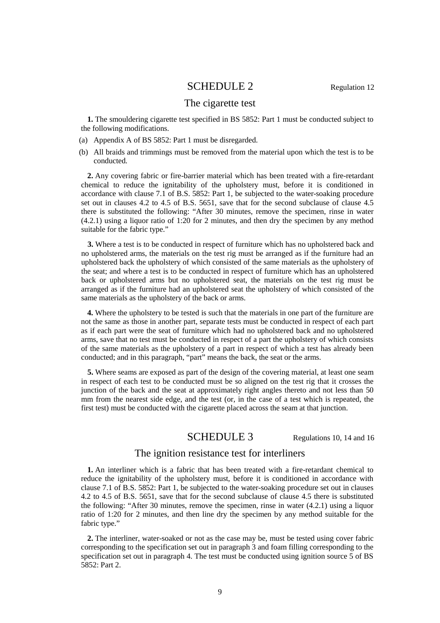# SCHEDULE 2 Regulation 12

# The cigarette test

**1.** The smouldering cigarette test specified in BS 5852: Part 1 must be conducted subject to the following modifications.

- (a) Appendix A of BS 5852: Part 1 must be disregarded.
- (b) All braids and trimmings must be removed from the material upon which the test is to be conducted.

**2.** Any covering fabric or fire-barrier material which has been treated with a fire-retardant chemical to reduce the ignitability of the upholstery must, before it is conditioned in accordance with clause 7.1 of B.S. 5852: Part 1, be subjected to the water-soaking procedure set out in clauses 4.2 to 4.5 of B.S. 5651, save that for the second subclause of clause 4.5 there is substituted the following: "After 30 minutes, remove the specimen, rinse in water (4.2.1) using a liquor ratio of 1:20 for 2 minutes, and then dry the specimen by any method suitable for the fabric type."

**3.** Where a test is to be conducted in respect of furniture which has no upholstered back and no upholstered arms, the materials on the test rig must be arranged as if the furniture had an upholstered back the upholstery of which consisted of the same materials as the upholstery of the seat; and where a test is to be conducted in respect of furniture which has an upholstered back or upholstered arms but no upholstered seat, the materials on the test rig must be arranged as if the furniture had an upholstered seat the upholstery of which consisted of the same materials as the upholstery of the back or arms.

**4.** Where the upholstery to be tested is such that the materials in one part of the furniture are not the same as those in another part, separate tests must be conducted in respect of each part as if each part were the seat of furniture which had no upholstered back and no upholstered arms, save that no test must be conducted in respect of a part the upholstery of which consists of the same materials as the upholstery of a part in respect of which a test has already been conducted; and in this paragraph, "part" means the back, the seat or the arms.

**5.** Where seams are exposed as part of the design of the covering material, at least one seam in respect of each test to be conducted must be so aligned on the test rig that it crosses the junction of the back and the seat at approximately right angles thereto and not less than 50 mm from the nearest side edge, and the test (or, in the case of a test which is repeated, the first test) must be conducted with the cigarette placed across the seam at that junction.

# SCHEDULE 3 Regulations 10, 14 and 16

### The ignition resistance test for interliners

**1.** An interliner which is a fabric that has been treated with a fire-retardant chemical to reduce the ignitability of the upholstery must, before it is conditioned in accordance with clause 7.1 of B.S. 5852: Part 1, be subjected to the water-soaking procedure set out in clauses 4.2 to 4.5 of B.S. 5651, save that for the second subclause of clause 4.5 there is substituted the following: "After 30 minutes, remove the specimen, rinse in water (4.2.1) using a liquor ratio of 1:20 for 2 minutes, and then line dry the specimen by any method suitable for the fabric type."

**2.** The interliner, water-soaked or not as the case may be, must be tested using cover fabric corresponding to the specification set out in paragraph 3 and foam filling corresponding to the specification set out in paragraph 4. The test must be conducted using ignition source 5 of BS 5852: Part 2.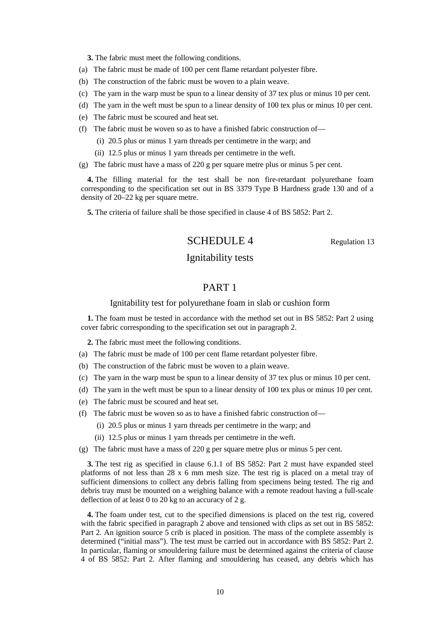**3.** The fabric must meet the following conditions.

- (a) The fabric must be made of 100 per cent flame retardant polyester fibre.
- (b) The construction of the fabric must be woven to a plain weave.
- (c) The yarn in the warp must be spun to a linear density of 37 tex plus or minus 10 per cent.
- (d) The yarn in the weft must be spun to a linear density of 100 tex plus or minus 10 per cent.
- (e) The fabric must be scoured and heat set.
- (f) The fabric must be woven so as to have a finished fabric construction of—
	- (i) 20.5 plus or minus 1 yarn threads per centimetre in the warp; and
	- (ii) 12.5 plus or minus 1 yarn threads per centimetre in the weft.
- (g) The fabric must have a mass of 220 g per square metre plus or minus 5 per cent.

**4.** The filling material for the test shall be non fire-retardant polyurethane foam corresponding to the specification set out in BS 3379 Type B Hardness grade 130 and of a density of 20–22 kg per square metre.

**5.** The criteria of failure shall be those specified in clause 4 of BS 5852: Part 2.

# SCHEDULE 4 Regulation 13

# Ignitability tests

# PART 1

### Ignitability test for polyurethane foam in slab or cushion form

**1.** The foam must be tested in accordance with the method set out in BS 5852: Part 2 using cover fabric corresponding to the specification set out in paragraph 2.

**2.** The fabric must meet the following conditions.

- (a) The fabric must be made of 100 per cent flame retardant polyester fibre.
- (b) The construction of the fabric must be woven to a plain weave.
- (c) The yarn in the warp must be spun to a linear density of 37 tex plus or minus 10 per cent.
- (d) The yarn in the weft must be spun to a linear density of 100 tex plus or minus 10 per cent.
- (e) The fabric must be scoured and heat set.
- (f) The fabric must be woven so as to have a finished fabric construction of—
	- (i) 20.5 plus or minus 1 yarn threads per centimetre in the warp; and
	- (ii) 12.5 plus or minus 1 yarn threads per centimetre in the weft.
- (g) The fabric must have a mass of 220 g per square metre plus or minus 5 per cent.

**3.** The test rig as specified in clause 6.1.1 of BS 5852: Part 2 must have expanded steel platforms of not less than 28 x 6 mm mesh size. The test rig is placed on a metal tray of sufficient dimensions to collect any debris falling from specimens being tested. The rig and debris tray must be mounted on a weighing balance with a remote readout having a full-scale deflection of at least 0 to 20 kg to an accuracy of 2 g.

**4.** The foam under test, cut to the specified dimensions is placed on the test rig, covered with the fabric specified in paragraph 2 above and tensioned with clips as set out in BS 5852: Part 2. An ignition source 5 crib is placed in position. The mass of the complete assembly is determined ("initial mass"). The test must be carried out in accordance with BS 5852: Part 2. In particular, flaming or smouldering failure must be determined against the criteria of clause 4 of BS 5852: Part 2. After flaming and smouldering has ceased, any debris which has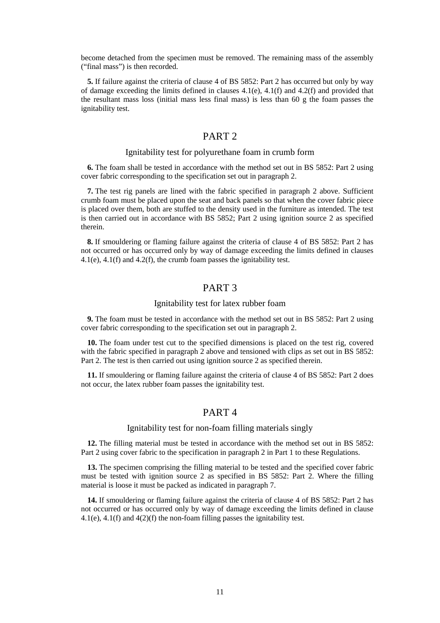become detached from the specimen must be removed. The remaining mass of the assembly ("final mass") is then recorded.

**5.** If failure against the criteria of clause 4 of BS 5852: Part 2 has occurred but only by way of damage exceeding the limits defined in clauses  $4.1(e)$ ,  $4.1(f)$  and  $4.2(f)$  and provided that the resultant mass loss (initial mass less final mass) is less than 60 g the foam passes the ignitability test.

# PART 2

### Ignitability test for polyurethane foam in crumb form

**6.** The foam shall be tested in accordance with the method set out in BS 5852: Part 2 using cover fabric corresponding to the specification set out in paragraph 2.

**7.** The test rig panels are lined with the fabric specified in paragraph 2 above. Sufficient crumb foam must be placed upon the seat and back panels so that when the cover fabric piece is placed over them, both are stuffed to the density used in the furniture as intended. The test is then carried out in accordance with BS 5852; Part 2 using ignition source 2 as specified therein.

**8.** If smouldering or flaming failure against the criteria of clause 4 of BS 5852: Part 2 has not occurred or has occurred only by way of damage exceeding the limits defined in clauses 4.1(e), 4.1(f) and 4.2(f), the crumb foam passes the ignitability test.

# PART 3

### Ignitability test for latex rubber foam

**9.** The foam must be tested in accordance with the method set out in BS 5852: Part 2 using cover fabric corresponding to the specification set out in paragraph 2.

**10.** The foam under test cut to the specified dimensions is placed on the test rig, covered with the fabric specified in paragraph 2 above and tensioned with clips as set out in BS 5852: Part 2. The test is then carried out using ignition source 2 as specified therein.

**11.** If smouldering or flaming failure against the criteria of clause 4 of BS 5852: Part 2 does not occur, the latex rubber foam passes the ignitability test.

### PART 4

### Ignitability test for non-foam filling materials singly

**12.** The filling material must be tested in accordance with the method set out in BS 5852: Part 2 using cover fabric to the specification in paragraph 2 in Part 1 to these Regulations.

**13.** The specimen comprising the filling material to be tested and the specified cover fabric must be tested with ignition source 2 as specified in BS 5852: Part 2. Where the filling material is loose it must be packed as indicated in paragraph 7.

**14.** If smouldering or flaming failure against the criteria of clause 4 of BS 5852: Part 2 has not occurred or has occurred only by way of damage exceeding the limits defined in clause 4.1(e), 4.1(f) and 4(2)(f) the non-foam filling passes the ignitability test.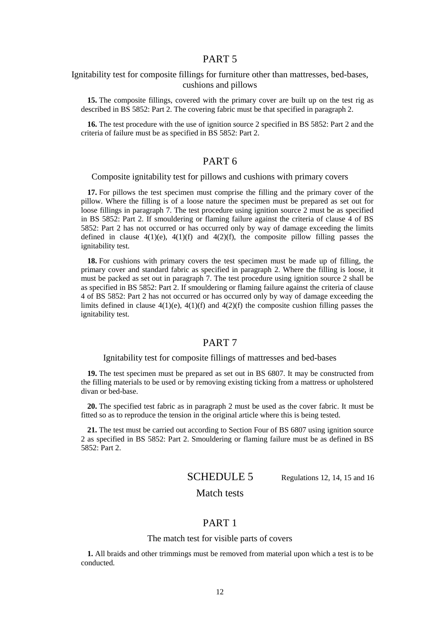### PART 5

### Ignitability test for composite fillings for furniture other than mattresses, bed-bases, cushions and pillows

**15.** The composite fillings, covered with the primary cover are built up on the test rig as described in BS 5852: Part 2. The covering fabric must be that specified in paragraph 2.

**16.** The test procedure with the use of ignition source 2 specified in BS 5852: Part 2 and the criteria of failure must be as specified in BS 5852: Part 2.

# PART 6

### Composite ignitability test for pillows and cushions with primary covers

**17.** For pillows the test specimen must comprise the filling and the primary cover of the pillow. Where the filling is of a loose nature the specimen must be prepared as set out for loose fillings in paragraph 7. The test procedure using ignition source 2 must be as specified in BS 5852: Part 2. If smouldering or flaming failure against the criteria of clause 4 of BS 5852: Part 2 has not occurred or has occurred only by way of damage exceeding the limits defined in clause  $4(1)(e)$ ,  $4(1)(f)$  and  $4(2)(f)$ , the composite pillow filling passes the ignitability test.

**18.** For cushions with primary covers the test specimen must be made up of filling, the primary cover and standard fabric as specified in paragraph 2. Where the filling is loose, it must be packed as set out in paragraph 7. The test procedure using ignition source 2 shall be as specified in BS 5852: Part 2. If smouldering or flaming failure against the criteria of clause 4 of BS 5852: Part 2 has not occurred or has occurred only by way of damage exceeding the limits defined in clause  $4(1)(e)$ ,  $4(1)(f)$  and  $4(2)(f)$  the composite cushion filling passes the ignitability test.

### PART 7

### Ignitability test for composite fillings of mattresses and bed-bases

**19.** The test specimen must be prepared as set out in BS 6807. It may be constructed from the filling materials to be used or by removing existing ticking from a mattress or upholstered divan or bed-base.

**20.** The specified test fabric as in paragraph 2 must be used as the cover fabric. It must be fitted so as to reproduce the tension in the original article where this is being tested.

**21.** The test must be carried out according to Section Four of BS 6807 using ignition source 2 as specified in BS 5852: Part 2. Smouldering or flaming failure must be as defined in BS 5852: Part 2.

SCHEDULE 5 Regulations 12, 14, 15 and 16

# Match tests

### PART 1

### The match test for visible parts of covers

**1.** All braids and other trimmings must be removed from material upon which a test is to be conducted.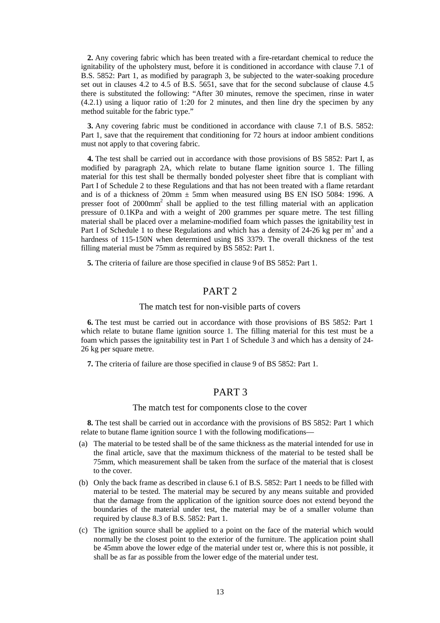**2.** Any covering fabric which has been treated with a fire-retardant chemical to reduce the ignitability of the upholstery must, before it is conditioned in accordance with clause 7.1 of B.S. 5852: Part 1, as modified by paragraph 3, be subjected to the water-soaking procedure set out in clauses 4.2 to 4.5 of B.S. 5651, save that for the second subclause of clause 4.5 there is substituted the following: "After 30 minutes, remove the specimen, rinse in water (4.2.1) using a liquor ratio of 1:20 for 2 minutes, and then line dry the specimen by any method suitable for the fabric type."

**3.** Any covering fabric must be conditioned in accordance with clause 7.1 of B.S. 5852: Part 1, save that the requirement that conditioning for 72 hours at indoor ambient conditions must not apply to that covering fabric.

**4.** The test shall be carried out in accordance with those provisions of BS 5852: Part I, as modified by paragraph 2A, which relate to butane flame ignition source 1. The filling material for this test shall be thermally bonded polyester sheet fibre that is compliant with Part I of Schedule 2 to these Regulations and that has not been treated with a flame retardant and is of a thickness of  $20 \text{mm} \pm 5 \text{mm}$  when measured using BS EN ISO 5084: 1996. A presser foot of 2000mm2 shall be applied to the test filling material with an application pressure of 0.1KPa and with a weight of 200 grammes per square metre. The test filling material shall be placed over a melamine-modified foam which passes the ignitability test in Part I of Schedule 1 to these Regulations and which has a density of 24-26 kg per  $m<sup>3</sup>$  and a hardness of 115-150N when determined using BS 3379. The overall thickness of the test filling material must be 75mm as required by BS 5852: Part 1.

**5.** The criteria of failure are those specified in clause 9 of BS 5852: Part 1.

# PART 2

### The match test for non-visible parts of covers

**6.** The test must be carried out in accordance with those provisions of BS 5852: Part 1 which relate to butane flame ignition source 1. The filling material for this test must be a foam which passes the ignitability test in Part 1 of Schedule 3 and which has a density of 24- 26 kg per square metre.

**7.** The criteria of failure are those specified in clause 9 of BS 5852: Part 1.

### PART 3

#### The match test for components close to the cover

**8.** The test shall be carried out in accordance with the provisions of BS 5852: Part 1 which relate to butane flame ignition source 1 with the following modifications—

- (a) The material to be tested shall be of the same thickness as the material intended for use in the final article, save that the maximum thickness of the material to be tested shall be 75mm, which measurement shall be taken from the surface of the material that is closest to the cover.
- (b) Only the back frame as described in clause 6.1 of B.S. 5852: Part 1 needs to be filled with material to be tested. The material may be secured by any means suitable and provided that the damage from the application of the ignition source does not extend beyond the boundaries of the material under test, the material may be of a smaller volume than required by clause 8.3 of B.S. 5852: Part 1.
- (c) The ignition source shall be applied to a point on the face of the material which would normally be the closest point to the exterior of the furniture. The application point shall be 45mm above the lower edge of the material under test or, where this is not possible, it shall be as far as possible from the lower edge of the material under test.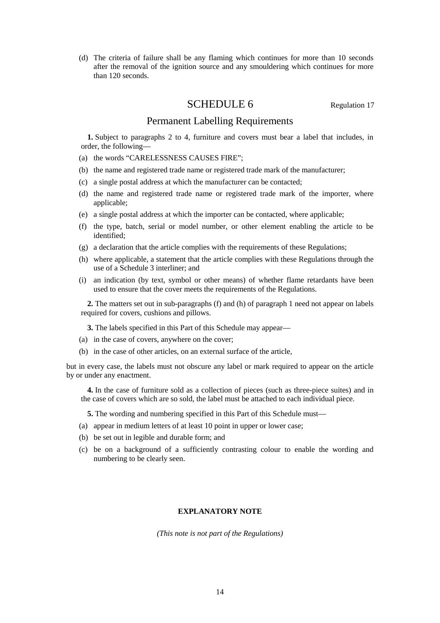(d) The criteria of failure shall be any flaming which continues for more than 10 seconds after the removal of the ignition source and any smouldering which continues for more than 120 seconds.

# SCHEDULE 6 Regulation 17

### Permanent Labelling Requirements

**1.** Subject to paragraphs 2 to 4, furniture and covers must bear a label that includes, in order, the following—

- (a) the words "CARELESSNESS CAUSES FIRE";
- (b) the name and registered trade name or registered trade mark of the manufacturer;
- (c) a single postal address at which the manufacturer can be contacted;
- (d) the name and registered trade name or registered trade mark of the importer, where applicable;
- (e) a single postal address at which the importer can be contacted, where applicable;
- (f) the type, batch, serial or model number, or other element enabling the article to be identified;
- (g) a declaration that the article complies with the requirements of these Regulations;
- (h) where applicable, a statement that the article complies with these Regulations through the use of a Schedule 3 interliner; and
- (i) an indication (by text, symbol or other means) of whether flame retardants have been used to ensure that the cover meets the requirements of the Regulations.

**2.** The matters set out in sub-paragraphs (f) and (h) of paragraph 1 need not appear on labels required for covers, cushions and pillows.

**3.** The labels specified in this Part of this Schedule may appear—

- (a) in the case of covers, anywhere on the cover;
- (b) in the case of other articles, on an external surface of the article,

but in every case, the labels must not obscure any label or mark required to appear on the article by or under any enactment.

**4.** In the case of furniture sold as a collection of pieces (such as three-piece suites) and in the case of covers which are so sold, the label must be attached to each individual piece.

- **5.** The wording and numbering specified in this Part of this Schedule must—
- (a) appear in medium letters of at least 10 point in upper or lower case;
- (b) be set out in legible and durable form; and
- (c) be on a background of a sufficiently contrasting colour to enable the wording and numbering to be clearly seen.

### **EXPLANATORY NOTE**

*(This note is not part of the Regulations)*